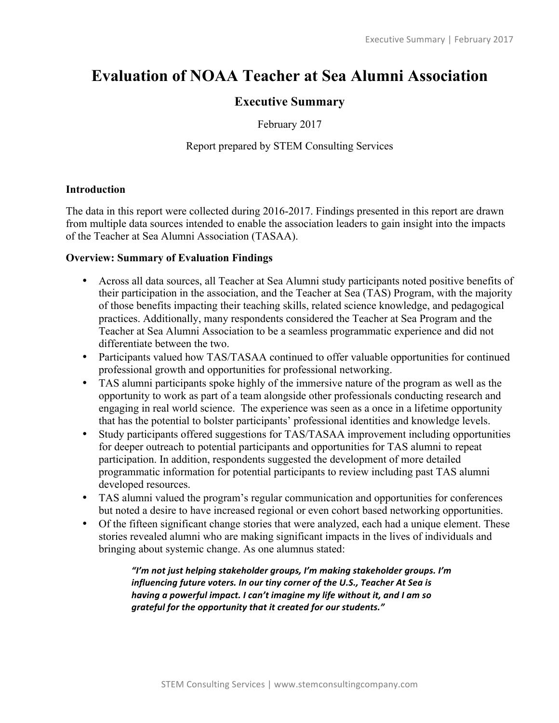# **Evaluation of NOAA Teacher at Sea Alumni Association**

# **Executive Summary**

February 2017

# Report prepared by STEM Consulting Services

#### **Introduction**

The data in this report were collected during 2016-2017. Findings presented in this report are drawn from multiple data sources intended to enable the association leaders to gain insight into the impacts of the Teacher at Sea Alumni Association (TASAA).

#### **Overview: Summary of Evaluation Findings**

- Across all data sources, all Teacher at Sea Alumni study participants noted positive benefits of their participation in the association, and the Teacher at Sea (TAS) Program, with the majority of those benefits impacting their teaching skills, related science knowledge, and pedagogical practices. Additionally, many respondents considered the Teacher at Sea Program and the Teacher at Sea Alumni Association to be a seamless programmatic experience and did not differentiate between the two.
- Participants valued how TAS/TASAA continued to offer valuable opportunities for continued professional growth and opportunities for professional networking.
- TAS alumni participants spoke highly of the immersive nature of the program as well as the opportunity to work as part of a team alongside other professionals conducting research and engaging in real world science. The experience was seen as a once in a lifetime opportunity that has the potential to bolster participants' professional identities and knowledge levels.
- Study participants offered suggestions for TAS/TASAA improvement including opportunities for deeper outreach to potential participants and opportunities for TAS alumni to repeat participation. In addition, respondents suggested the development of more detailed programmatic information for potential participants to review including past TAS alumni developed resources.
- TAS alumni valued the program's regular communication and opportunities for conferences but noted a desire to have increased regional or even cohort based networking opportunities.
- Of the fifteen significant change stories that were analyzed, each had a unique element. These stories revealed alumni who are making significant impacts in the lives of individuals and bringing about systemic change. As one alumnus stated:

"I'm not just helping stakeholder groups, I'm making stakeholder groups. I'm influencing future voters. In our tiny corner of the U.S., Teacher At Sea is *having a powerful impact. I can't imagine my life without it, and I am so* grateful for the opportunity that it created for our students."